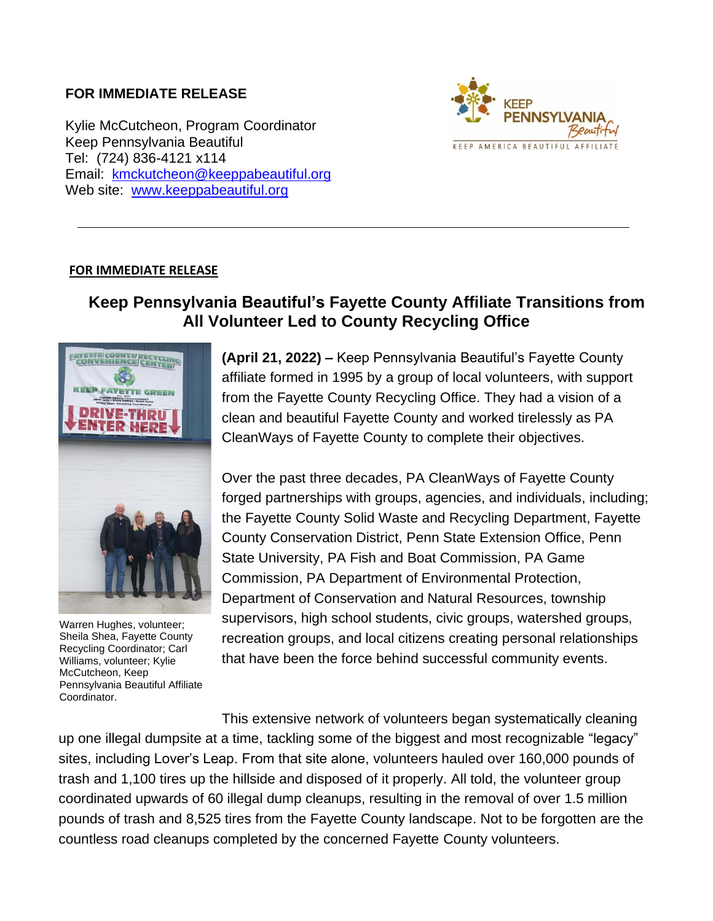## **FOR IMMEDIATE RELEASE**

Kylie McCutcheon, Program Coordinator Keep Pennsylvania Beautiful Tel: (724) 836-4121 x114 Email: [kmckutcheon@keeppabeautiful.org](mailto:kmckutcheon@keeppabeautiful.org) Web site: [www.keeppabeautiful.org](http://www.keeppabeautiful.org/)



## **FOR IMMEDIATE RELEASE**

## **Keep Pennsylvania Beautiful's Fayette County Affiliate Transitions from All Volunteer Led to County Recycling Office**



Warren Hughes, volunteer; Sheila Shea, Fayette County Recycling Coordinator; Carl Williams, volunteer; Kylie McCutcheon, Keep Pennsylvania Beautiful Affiliate Coordinator.

**(April 21, 2022) –** Keep Pennsylvania Beautiful's Fayette County affiliate formed in 1995 by a group of local volunteers, with support from the Fayette County Recycling Office. They had a vision of a clean and beautiful Fayette County and worked tirelessly as PA CleanWays of Fayette County to complete their objectives.

Over the past three decades, PA CleanWays of Fayette County forged partnerships with groups, agencies, and individuals, including; the Fayette County Solid Waste and Recycling Department, Fayette County Conservation District, Penn State Extension Office, Penn State University, PA Fish and Boat Commission, PA Game Commission, PA Department of Environmental Protection, Department of Conservation and Natural Resources, township supervisors, high school students, civic groups, watershed groups, recreation groups, and local citizens creating personal relationships that have been the force behind successful community events.

This extensive network of volunteers began systematically cleaning up one illegal dumpsite at a time, tackling some of the biggest and most recognizable "legacy" sites, including Lover's Leap. From that site alone, volunteers hauled over 160,000 pounds of trash and 1,100 tires up the hillside and disposed of it properly. All told, the volunteer group coordinated upwards of 60 illegal dump cleanups, resulting in the removal of over 1.5 million pounds of trash and 8,525 tires from the Fayette County landscape. Not to be forgotten are the countless road cleanups completed by the concerned Fayette County volunteers.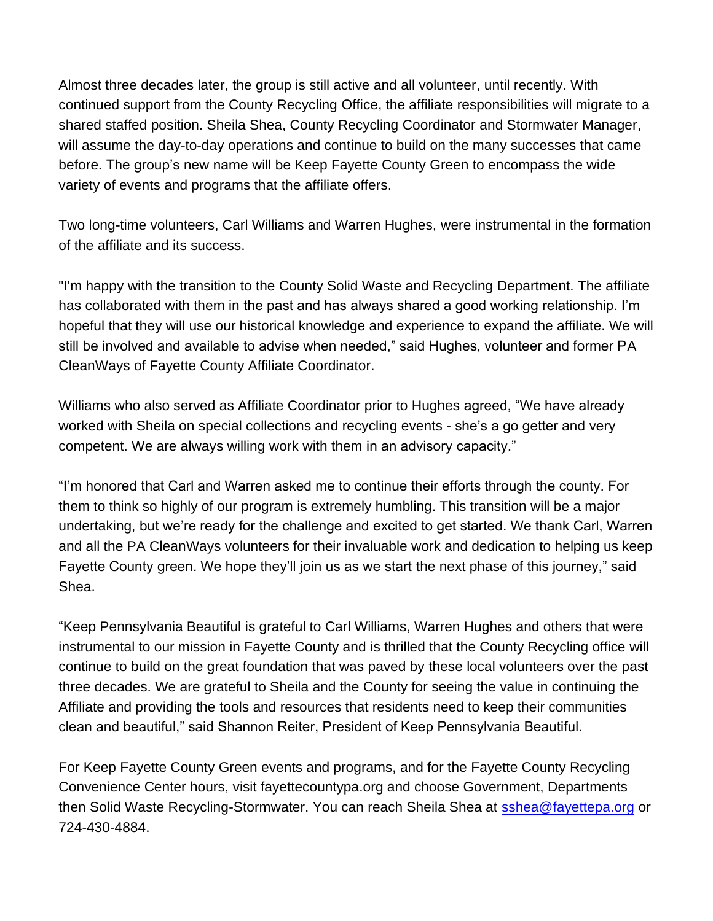Almost three decades later, the group is still active and all volunteer, until recently. With continued support from the County Recycling Office, the affiliate responsibilities will migrate to a shared staffed position. Sheila Shea, County Recycling Coordinator and Stormwater Manager, will assume the day-to-day operations and continue to build on the many successes that came before. The group's new name will be Keep Fayette County Green to encompass the wide variety of events and programs that the affiliate offers.

Two long-time volunteers, Carl Williams and Warren Hughes, were instrumental in the formation of the affiliate and its success.

"I'm happy with the transition to the County Solid Waste and Recycling Department. The affiliate has collaborated with them in the past and has always shared a good working relationship. I'm hopeful that they will use our historical knowledge and experience to expand the affiliate. We will still be involved and available to advise when needed," said Hughes, volunteer and former PA CleanWays of Fayette County Affiliate Coordinator.

Williams who also served as Affiliate Coordinator prior to Hughes agreed, "We have already worked with Sheila on special collections and recycling events - she's a go getter and very competent. We are always willing work with them in an advisory capacity."

"I'm honored that Carl and Warren asked me to continue their efforts through the county. For them to think so highly of our program is extremely humbling. This transition will be a major undertaking, but we're ready for the challenge and excited to get started. We thank Carl, Warren and all the PA CleanWays volunteers for their invaluable work and dedication to helping us keep Fayette County green. We hope they'll join us as we start the next phase of this journey," said Shea.

"Keep Pennsylvania Beautiful is grateful to Carl Williams, Warren Hughes and others that were instrumental to our mission in Fayette County and is thrilled that the County Recycling office will continue to build on the great foundation that was paved by these local volunteers over the past three decades. We are grateful to Sheila and the County for seeing the value in continuing the Affiliate and providing the tools and resources that residents need to keep their communities clean and beautiful," said Shannon Reiter, President of Keep Pennsylvania Beautiful.

For Keep Fayette County Green events and programs, and for the Fayette County Recycling Convenience Center hours, visit fayettecountypa.org and choose Government, Departments then Solid Waste Recycling-Stormwater. You can reach Sheila Shea at [sshea@fayettepa.org](mailto:sshea@fayettepa.org) or 724-430-4884.